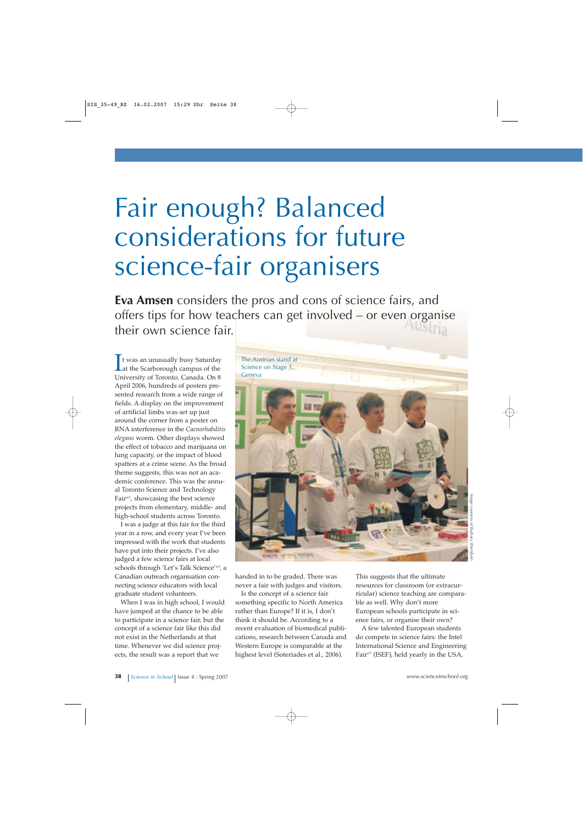# Fair enough? Balanced considerations for future science-fair organisers

**Eva Amsen** considers the pros and cons of science fairs, and offers tips for how teachers can get involved – or even organise their own science fair.

 $\prod$ t was an unusually busy Saturday<br>Lat the Scarborough campus of the<br>University of Taranta Canada On 8 t was an unusually busy Saturday University of Toronto, Canada. On 8 April 2006, hundreds of posters presented research from a wide range of fields. A display on the improvement of artificial limbs was set up just around the corner from a poster on RNA interference in the *Caenorhabditis elegans* worm. Other displays showed the effect of tobacco and marijuana on lung capacity, or the impact of blood spatters at a crime scene. As the broad theme suggests, this was not an academic conference. This was the annual Toronto Science and Technology Fair<sup>w1</sup>, showcasing the best science projects from elementary, middle- and high-school students across Toronto.

I was a judge at this fair for the third year in a row, and every year I've been impressed with the work that students have put into their projects. I've also judged a few science fairs at local schools through 'Let's Talk Science'<sup>w2</sup>, a Canadian outreach organisation connecting science educators with local graduate student volunteers.

When I was in high school, I would have jumped at the chance to be able to participate in a science fair, but the concept of a science fair like this did not exist in the Netherlands at that time. Whenever we did science projects, the result was a report that we



handed in to be graded. There was never a fair with judges and visitors.

Is the concept of a science fair something specific to North America rather than Europe? If it is, I don't think it should be. According to a recent evaluation of biomedical publications, research between Canada and Western Europe is comparable at the highest level (Soteriades et al., 2006).

This suggests that the ultimate resources for classroom (or extracurricular) science teaching are comparable as well. Why don't more European schools participate in science fairs, or organise their own?

A few talented European students do compete in science fairs: the Intel International Science and Engineering Fair<sup>w3</sup> (ISEF), held yearly in the USA,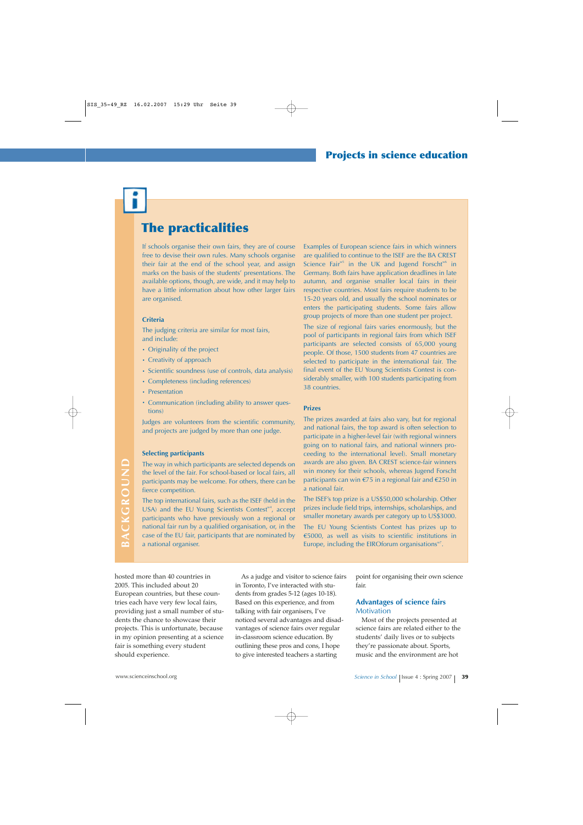## **The practicalities**

If schools organise their own fairs, they are of course free to devise their own rules. Many schools organise their fair at the end of the school year, and assign marks on the basis of the students' presentations. The available options, though, are wide, and it may help to have a little information about how other larger fairs are organised.

#### **Criteria**

The judging criteria are similar for most fairs, and include:

- **·** Originality of the project
- **·** Creativity of approach
- **·** Scientific soundness (use of controls, data analysis)
- **·** Completeness (including references)
- **·** Presentation
- **·** Communication (including ability to answer questions)

Judges are volunteers from the scientific community, and projects are judged by more than one judge.

#### **Selecting participants**

The way in which participants are selected depends on the level of the fair. For school-based or local fairs, all participants may be welcome. For others, there can be fierce competition.

The top international fairs, such as the ISEF (held in the USA) and the EU Young Scientists Contest<sup>w4</sup>, accept participants who have previously won a regional or national fair run by a qualified organisation, or, in the case of the EU fair, participants that are nominated by a national organiser.

Examples of European science fairs in which winners are qualified to continue to the ISEF are the BA CREST Science Fair $^{ws}$  in the UK and Jugend Forscht $^{ws}$  in Germany. Both fairs have application deadlines in late autumn, and organise smaller local fairs in their respective countries. Most fairs require students to be 15-20 years old, and usually the school nominates or enters the participating students. Some fairs allow group projects of more than one student per project.

The size of regional fairs varies enormously, but the pool of participants in regional fairs from which ISEF participants are selected consists of 65,000 young people. Of those, 1500 students from 47 countries are selected to participate in the international fair. The final event of the EU Young Scientists Contest is considerably smaller, with 100 students participating from 38 countries.

#### **Prizes**

The prizes awarded at fairs also vary, but for regional and national fairs, the top award is often selection to participate in a higher-level fair (with regional winners going on to national fairs, and national winners proceeding to the international level). Small monetary awards are also given. BA CREST science-fair winners win money for their schools, whereas Jugend Forscht participants can win €75 in a regional fair and €250 in a national fair.

The ISEF's top prize is a US\$50,000 scholarship. Other prizes include field trips, internships, scholarships, and smaller monetary awards per category up to US\$3000.

The EU Young Scientists Contest has prizes up to €5000, as well as visits to scientific institutions in Europe, including the EIROforum organisations<sup>w7</sup>.

hosted more than 40 countries in 2005. This included about 20 European countries, but these countries each have very few local fairs, providing just a small number of students the chance to showcase their projects. This is unfortunate, because in my opinion presenting at a science fair is something every student should experience.

As a judge and visitor to science fairs in Toronto, I've interacted with students from grades 5-12 (ages 10-18). Based on this experience, and from talking with fair organisers, I've noticed several advantages and disadvantages of science fairs over regular in-classroom science education. By outlining these pros and cons, I hope to give interested teachers a starting

point for organising their own science fair.

#### **Advantages of science fairs Motivation**

Most of the projects presented at science fairs are related either to the students' daily lives or to subjects they're passionate about. Sports, music and the environment are hot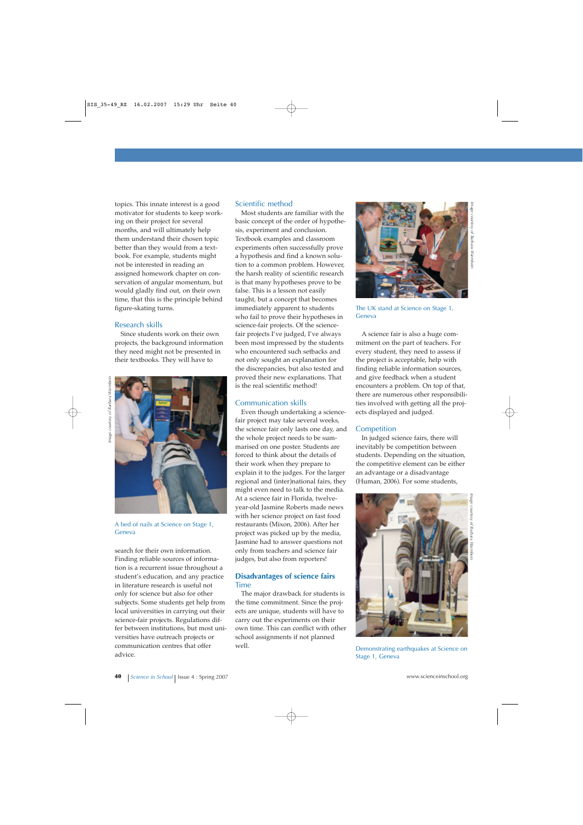topics. This innate interest is a good motivator for students to keep working on their project for several months, and will ultimately help them understand their chosen topic better than they would from a textbook. For example, students might not be interested in reading an assigned homework chapter on conservation of angular momentum, but would gladly find out, on their own time, that this is the principle behind figure-skating turns.

#### Research skills

Since students work on their own projects, the background information they need might not be presented in their textbooks. They will have to



A bed of nails at Science on Stage 1, Geneva

search for their own information. Finding reliable sources of information is a recurrent issue throughout a student's education, and any practice in literature research is useful not only for science but also for other subjects. Some students get help from local universities in carrying out their science-fair projects. Regulations differ between institutions, but most universities have outreach projects or communication centres that offer advice.

#### Scientific method

Most students are familiar with the basic concept of the order of hypothesis, experiment and conclusion. Textbook examples and classroom experiments often successfully prove a hypothesis and find a known solution to a common problem. However, the harsh reality of scientific research is that many hypotheses prove to be false. This is a lesson not easily taught, but a concept that becomes immediately apparent to students who fail to prove their hypotheses in science-fair projects. Of the sciencefair projects I've judged, I've always been most impressed by the students who encountered such setbacks and not only sought an explanation for the discrepancies, but also tested and proved their new explanations. That is the real scientific method!

#### Communication skills

Even though undertaking a sciencefair project may take several weeks, the science fair only lasts one day, and the whole project needs to be summarised on one poster. Students are forced to think about the details of their work when they prepare to explain it to the judges. For the larger regional and (inter)national fairs, they might even need to talk to the media. At a science fair in Florida, twelveyear-old Jasmine Roberts made news with her science project on fast food restaurants (Mixon, 2006). After her project was picked up by the media, Jasmine had to answer questions not only from teachers and science fair judges, but also from reporters!

#### **Disadvantages of science fairs**  Time

The major drawback for students is the time commitment. Since the projects are unique, students will have to carry out the experiments on their own time. This can conflict with other school assignments if not planned well.



The UK stand at Science on Stage 1, Geneva

A science fair is also a huge commitment on the part of teachers. For every student, they need to assess if the project is acceptable, help with finding reliable information sources, and give feedback when a student encounters a problem. On top of that, there are numerous other responsibilities involved with getting all the projects displayed and judged.

#### **Competition**

In judged science fairs, there will inevitably be competition between students. Depending on the situation, the competitive element can be either an advantage or a disadvantage (Human, 2006). For some students,